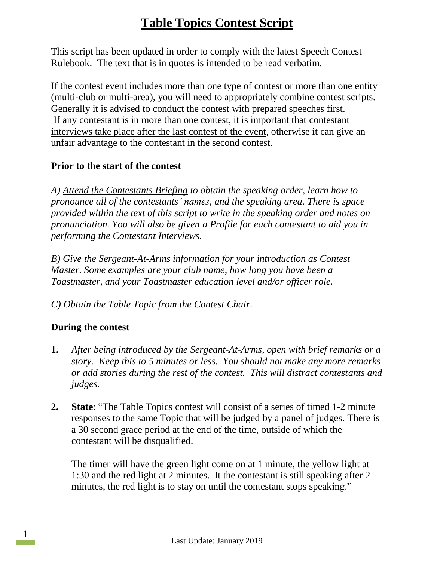This script has been updated in order to comply with the latest Speech Contest Rulebook. The text that is in quotes is intended to be read verbatim.

If the contest event includes more than one type of contest or more than one entity (multi-club or multi-area), you will need to appropriately combine contest scripts. Generally it is advised to conduct the contest with prepared speeches first. If any contestant is in more than one contest, it is important that contestant interviews take place after the last contest of the event, otherwise it can give an unfair advantage to the contestant in the second contest.

#### **Prior to the start of the contest**

*A) Attend the Contestants Briefing to obtain the speaking order, learn how to pronounce all of the contestants' names, and the speaking area. There is space provided within the text of this script to write in the speaking order and notes on pronunciation. You will also be given a Profile for each contestant to aid you in performing the Contestant Interviews.*

*B) Give the Sergeant-At-Arms information for your introduction as Contest Master. Some examples are your club name, how long you have been a Toastmaster, and your Toastmaster education level and/or officer role.*

### *C) Obtain the Table Topic from the Contest Chair.*

### **During the contest**

- **1.** *After being introduced by the Sergeant-At-Arms, open with brief remarks or a story. Keep this to 5 minutes or less. You should not make any more remarks or add stories during the rest of the contest. This will distract contestants and judges.*
- **2. State**: "The Table Topics contest will consist of a series of timed 1-2 minute responses to the same Topic that will be judged by a panel of judges. There is a 30 second grace period at the end of the time, outside of which the contestant will be disqualified.

The timer will have the green light come on at 1 minute, the yellow light at 1:30 and the red light at 2 minutes. It the contestant is still speaking after 2 minutes, the red light is to stay on until the contestant stops speaking."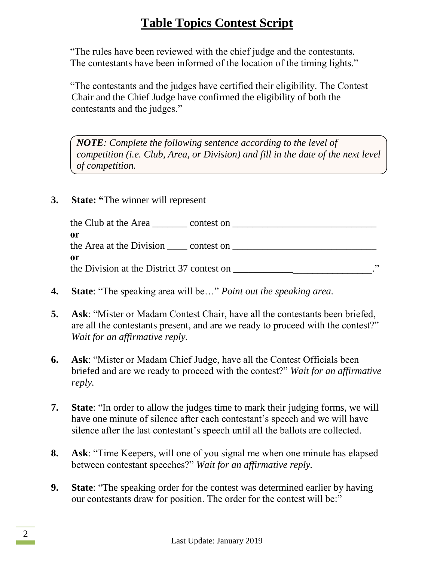"The rules have been reviewed with the chief judge and the contestants. The contestants have been informed of the location of the timing lights."

"The contestants and the judges have certified their eligibility. The Contest Chair and the Chief Judge have confirmed the eligibility of both the contestants and the judges."

*NOTE: Complete the following sentence according to the level of competition (i.e. Club, Area, or Division) and fill in the date of the next level of competition.*

**3. State: "**The winner will represent

| the Club at the Area<br>contest on         |    |
|--------------------------------------------|----|
| 0r                                         |    |
| the Area at the Division contest on        |    |
| or                                         |    |
| the Division at the District 37 contest on | ,, |

- **4. State**: "The speaking area will be…" *Point out the speaking area.*
- **5. Ask**: "Mister or Madam Contest Chair, have all the contestants been briefed, are all the contestants present, and are we ready to proceed with the contest?" *Wait for an affirmative reply.*
- **6. Ask**: "Mister or Madam Chief Judge, have all the Contest Officials been briefed and are we ready to proceed with the contest?" *Wait for an affirmative reply.*
- **7. State**: "In order to allow the judges time to mark their judging forms, we will have one minute of silence after each contestant's speech and we will have silence after the last contestant's speech until all the ballots are collected.
- **8. Ask**: "Time Keepers, will one of you signal me when one minute has elapsed between contestant speeches?" *Wait for an affirmative reply.*
- **9. State**: "The speaking order for the contest was determined earlier by having our contestants draw for position. The order for the contest will be:"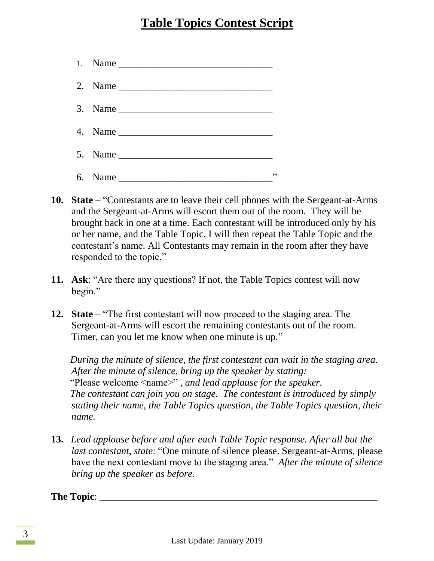|  | , 2 |
|--|-----|

- **10. State** "Contestants are to leave their cell phones with the Sergeant-at-Arms and the Sergeant-at-Arms will escort them out of the room. They will be brought back in one at a time. Each contestant will be introduced only by his or her name, and the Table Topic. I will then repeat the Table Topic and the contestant's name. All Contestants may remain in the room after they have responded to the topic."
- **11. Ask**: "Are there any questions? If not, the Table Topics contest will now begin."
- **12. State** "The first contestant will now proceed to the staging area. The Sergeant-at-Arms will escort the remaining contestants out of the room. Timer, can you let me know when one minute is up."

*During the minute of silence, the first contestant can wait in the staging area. After the minute of silence, bring up the speaker by stating:* "Please welcome <name>" *, and lead applause for the speaker. The contestant can join you on stage. The contestant is introduced by simply stating their name, the Table Topics question, the Table Topics question, their name.*

**13.** *Lead applause before and after each Table Topic response. After all but the last contestant, state*: "One minute of silence please. Sergeant-at-Arms, please have the next contestant move to the staging area." *After the minute of silence bring up the speaker as before.*

**The Topic**: \_\_\_\_\_\_\_\_\_\_\_\_\_\_\_\_\_\_\_\_\_\_\_\_\_\_\_\_\_\_\_\_\_\_\_\_\_\_\_\_\_\_\_\_\_\_\_\_\_\_\_\_\_\_\_\_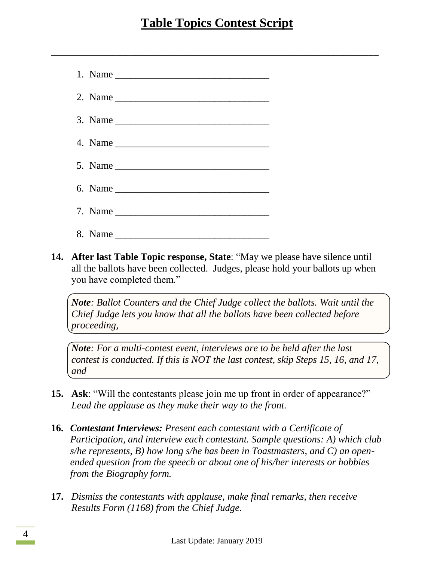$\overline{\phantom{a}}$  , and the contribution of the contribution of the contribution of the contribution of the contribution of the contribution of the contribution of the contribution of the contribution of the contribution of the

|  | 2. Name $\frac{1}{\sqrt{1-\frac{1}{2}}\sqrt{1-\frac{1}{2}}\sqrt{1-\frac{1}{2}}\sqrt{1-\frac{1}{2}}\sqrt{1-\frac{1}{2}}}}$ |
|--|---------------------------------------------------------------------------------------------------------------------------|
|  | 3. Name $\frac{1}{\sqrt{1-\frac{1}{2}}\left\lceil \frac{1}{2}\right\rceil}$                                               |
|  |                                                                                                                           |
|  |                                                                                                                           |
|  |                                                                                                                           |
|  | 7. Name                                                                                                                   |
|  |                                                                                                                           |

**14. After last Table Topic response, State**: "May we please have silence until all the ballots have been collected. Judges, please hold your ballots up when you have completed them."

*Note: Ballot Counters and the Chief Judge collect the ballots. Wait until the Chief Judge lets you know that all the ballots have been collected before proceeding,*

*Note: For a multi-contest event, interviews are to be held after the last contest is conducted. If this is NOT the last contest, skip Steps 15, 16, and 17, and*

- **15. Ask**: "Will the contestants please join me up front in order of appearance?" *Lead the applause as they make their way to the front.*
- **16.** *Contestant Interviews: Present each contestant with a Certificate of Participation, and interview each contestant. Sample questions: A) which club s/he represents, B) how long s/he has been in Toastmasters, and C) an openended question from the speech or about one of his/her interests or hobbies from the Biography form.*
- **17.** *Dismiss the contestants with applause, make final remarks, then receive Results Form (1168) from the Chief Judge.*